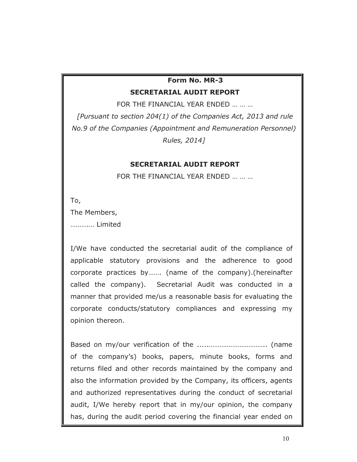## **Form No. MR-3 SECRETARIAL AUDIT REPORT**

FOR THE FINANCIAL YEAR ENDED … … …

*[Pursuant to section 204(1) of the Companies Act, 2013 and rule No.9 of the Companies (Appointment and Remuneration Personnel) Rules, 2014]* 

## **SECRETARIAL AUDIT REPORT**

FOR THE FINANCIAL YEAR ENDED … … …

To, The Members, ……….… Limited

I/We have conducted the secretarial audit of the compliance of applicable statutory provisions and the adherence to good corporate practices by……. (name of the company).(hereinafter called the company). Secretarial Audit was conducted in a manner that provided me/us a reasonable basis for evaluating the corporate conducts/statutory compliances and expressing my opinion thereon.

Based on my/our verification of the .....………………………….. (name of the company's) books, papers, minute books, forms and returns filed and other records maintained by the company and also the information provided by the Company, its officers, agents and authorized representatives during the conduct of secretarial audit, I/We hereby report that in my/our opinion, the company has, during the audit period covering the financial year ended on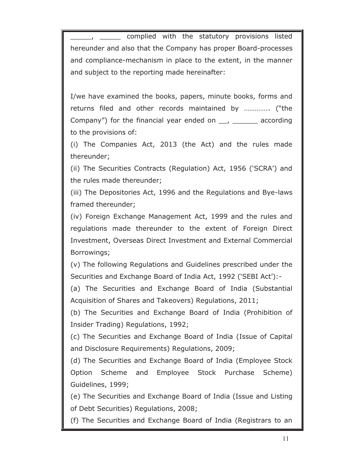complied with the statutory provisions listed hereunder and also that the Company has proper Board-processes and compliance-mechanism in place to the extent, in the manner and subject to the reporting made hereinafter:

I/we have examined the books, papers, minute books, forms and returns filed and other records maintained by ………….. ("the Company") for the financial year ended on  $\mu$ ,  $\mu$  according to the provisions of:

(i) The Companies Act, 2013 (the Act) and the rules made thereunder;

(ii) The Securities Contracts (Regulation) Act, 1956 ('SCRA') and the rules made thereunder;

(iii) The Depositories Act, 1996 and the Regulations and Bye-laws framed thereunder;

(iv) Foreign Exchange Management Act, 1999 and the rules and regulations made thereunder to the extent of Foreign Direct Investment, Overseas Direct Investment and External Commercial Borrowings;

(v) The following Regulations and Guidelines prescribed under the Securities and Exchange Board of India Act, 1992 ('SEBI Act'):-

(a) The Securities and Exchange Board of India (Substantial Acquisition of Shares and Takeovers) Regulations, 2011;

(b) The Securities and Exchange Board of India (Prohibition of Insider Trading) Regulations, 1992;

(c) The Securities and Exchange Board of India (Issue of Capital and Disclosure Requirements) Regulations, 2009;

(d) The Securities and Exchange Board of India (Employee Stock Option Scheme and Employee Stock Purchase Scheme) Guidelines, 1999;

(e) The Securities and Exchange Board of India (Issue and Listing of Debt Securities) Regulations, 2008;

(f) The Securities and Exchange Board of India (Registrars to an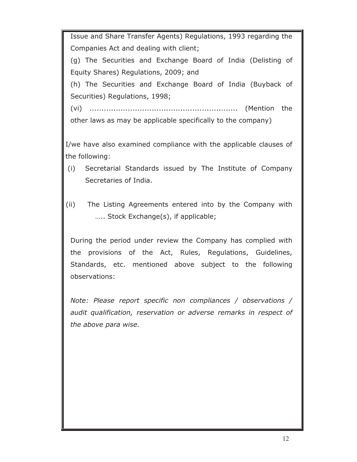Issue and Share Transfer Agents) Regulations, 1993 regarding the Companies Act and dealing with client;

(g) The Securities and Exchange Board of India (Delisting of Equity Shares) Regulations, 2009; and

(h) The Securities and Exchange Board of India (Buyback of Securities) Regulations, 1998;

(vi) .............................................................. (Mention the other laws as may be applicable specifically to the company)

I/we have also examined compliance with the applicable clauses of the following:

- (i) Secretarial Standards issued by The Institute of Company Secretaries of India.
- (ii) The Listing Agreements entered into by the Company with ….. Stock Exchange(s), if applicable;

During the period under review the Company has complied with the provisions of the Act, Rules, Regulations, Guidelines, Standards, etc. mentioned above subject to the following observations:

*Note: Please report specific non compliances / observations / audit qualification, reservation or adverse remarks in respect of the above para wise.*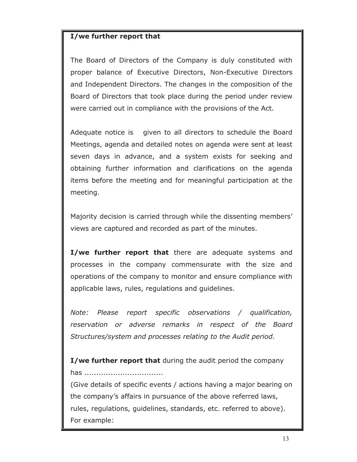## **I/we further report that**

The Board of Directors of the Company is duly constituted with proper balance of Executive Directors, Non-Executive Directors and Independent Directors. The changes in the composition of the Board of Directors that took place during the period under review were carried out in compliance with the provisions of the Act.

Adequate notice is given to all directors to schedule the Board Meetings, agenda and detailed notes on agenda were sent at least seven days in advance, and a system exists for seeking and obtaining further information and clarifications on the agenda items before the meeting and for meaningful participation at the meeting.

Majority decision is carried through while the dissenting members' views are captured and recorded as part of the minutes.

**I/we further report that** there are adequate systems and processes in the company commensurate with the size and operations of the company to monitor and ensure compliance with applicable laws, rules, regulations and guidelines.

*Note: Please report specific observations / qualification, reservation or adverse remarks in respect of the Board Structures/system and processes relating to the Audit period.* 

**I/we further report that** during the audit period the company has .................................

(Give details of specific events / actions having a major bearing on the company's affairs in pursuance of the above referred laws, rules, regulations, guidelines, standards, etc. referred to above). For example: